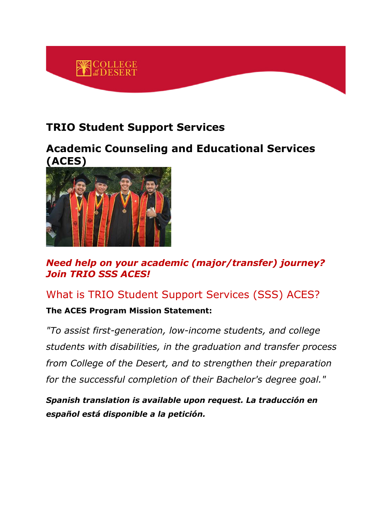

## **TRIO Student Support Services**

#### **Academic Counseling and Educational Services (ACES)**



*Need help on your academic (major/transfer) journey? Join TRIO SSS ACES!*

### What is TRIO Student Support Services (SSS) ACES?

#### **The ACES Program Mission Statement:**

*"To assist first-generation, low-income students, and college students with disabilities, in the graduation and transfer process from College of the Desert, and to strengthen their preparation for the successful completion of their Bachelor's degree goal."*

*Spanish translation is available upon request. La traducción en español está disponible a la petición.*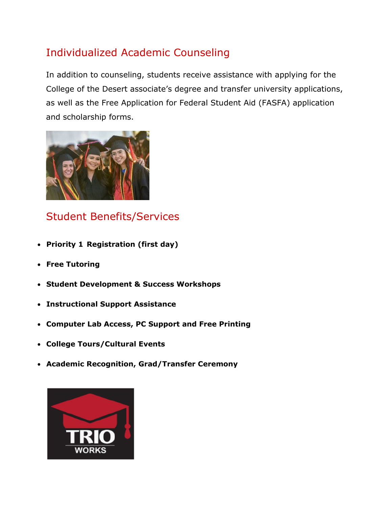# Individualized Academic Counseling

In addition to counseling, students receive assistance with applying for the College of the Desert associate's degree and transfer university applications, as well as the Free Application for Federal Student Aid (FASFA) application and scholarship forms.



# Student Benefits/Services

- **Priority 1 Registration (first day)**
- **Free Tutoring**
- **Student Development & Success Workshops**
- **Instructional Support Assistance**
- **Computer Lab Access, PC Support and Free Printing**
- **College Tours/Cultural Events**
- **Academic Recognition, Grad/Transfer Ceremony**

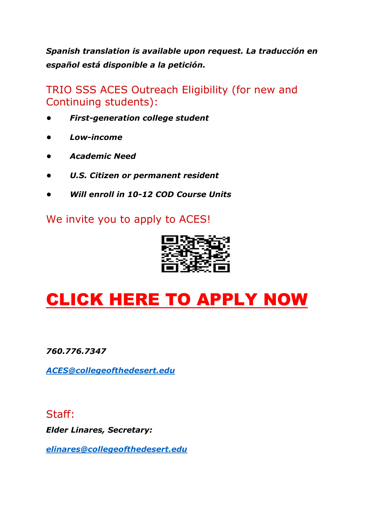*Spanish translation is available upon request. La traducción en español está disponible a la petición.*

TRIO SSS ACES Outreach Eligibility (for new and Continuing students):

- *First-generation college student*
- *• Low-income*
- *• Academic Need*
- *• U.S. Citizen or permanent resident*
- *• Will enroll in 10-12 COD Course Units*

We invite you to apply to ACES!



# [CLICK HERE TO APPLY NOW](http://dccdlfs4.dccd.cc.ca.us/Forms/TRIOACES)

*760.776.7347*

*[ACES@collegeofthedesert.edu](mailto:ACES@collegeofthedesert.edu)*

#### Staff:

*Elder Linares, Secretary:*

*[elinares@collegeofthedesert.edu](mailto:clemus@collegeofthedesert.edu)*